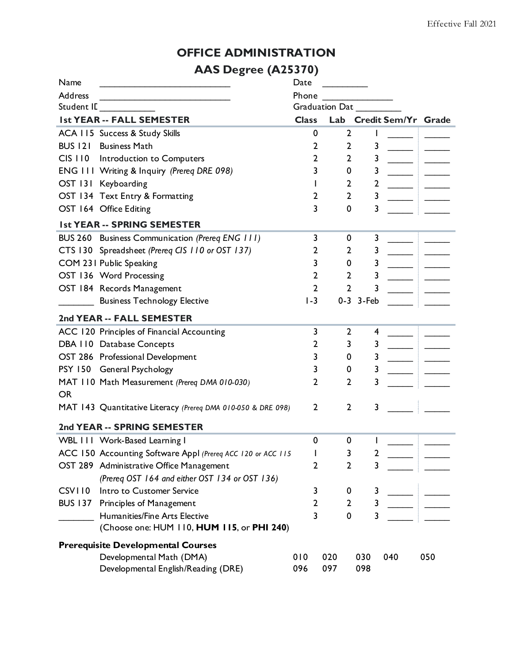### **OFFICE ADMINISTRATION**

### **AAS Degree (A25370)**

| Name                                      |                                                              | Date         |                |              |           |                            |     |  |
|-------------------------------------------|--------------------------------------------------------------|--------------|----------------|--------------|-----------|----------------------------|-----|--|
| <b>Address</b>                            | <u> 1980 - Johann Barbara, martxa alemaniar a</u>            | Phone        |                |              |           |                            |     |  |
| Student IL                                |                                                              |              | Graduation Dat |              |           |                            |     |  |
|                                           | <b>Ist YEAR -- FALL SEMESTER</b>                             | <b>Class</b> | Lab            |              |           | <b>Credit Sem/Yr Grade</b> |     |  |
|                                           | ACA 115 Success & Study Skills                               |              | 0              | 2            |           |                            |     |  |
| <b>BUS 121</b>                            | <b>Business Math</b>                                         |              | 2              | 2            | 3         |                            |     |  |
|                                           | CIS I 10 Introduction to Computers                           |              | 2              | 2            | 3         |                            |     |  |
|                                           | ENG III Writing & Inquiry (Prereq DRE 098)                   |              | 3              | 0            | 3         |                            |     |  |
|                                           | OST 131 Keyboarding                                          |              |                | 2            | 2         |                            |     |  |
|                                           | OST 134 Text Entry & Formatting                              |              | 2              | 2            | 3         |                            |     |  |
|                                           | OST 164 Office Editing                                       |              | 3              | 0            | 3         |                            |     |  |
| <b>Ist YEAR -- SPRING SEMESTER</b>        |                                                              |              |                |              |           |                            |     |  |
|                                           | BUS 260 Business Communication (Prereq ENG 111)              |              | 3              | 0            | 3         |                            |     |  |
|                                           | CTS 130 Spreadsheet (Prereq CIS 110 or OST 137)              |              | 2              | 2            | 3         |                            |     |  |
|                                           | COM 231 Public Speaking                                      |              | 3              | 0            | 3         |                            |     |  |
|                                           | OST 136 Word Processing                                      |              | 2              | 2            | 3         |                            |     |  |
|                                           | OST 184 Records Management                                   |              | 2              | $\mathbf{2}$ | 3         |                            |     |  |
|                                           | <b>Business Technology Elective</b>                          | $1-3$        |                |              | 0-3 3-Feb |                            |     |  |
|                                           | 2nd YEAR -- FALL SEMESTER                                    |              |                |              |           |                            |     |  |
|                                           | ACC 120 Principles of Financial Accounting                   |              | 3              | 2            | 4         |                            |     |  |
|                                           | DBA 110 Database Concepts                                    |              | 2              | 3            | 3         |                            |     |  |
|                                           | OST 286 Professional Development                             |              | 3              | 0            | 3         |                            |     |  |
|                                           | PSY 150 General Psychology                                   |              | 3              | 0            | 3         |                            |     |  |
|                                           | MAT 110 Math Measurement (Prereq DMA 010-030)                |              | 2              | 2            | 3         |                            |     |  |
| <b>OR</b>                                 |                                                              |              |                |              |           |                            |     |  |
|                                           | MAT 143 Quantitative Literacy (Prereq DMA 010-050 & DRE 098) |              | $\mathbf{2}$   | $\mathbf{2}$ | 3         |                            |     |  |
|                                           | 2nd YEAR -- SPRING SEMESTER                                  |              |                |              |           |                            |     |  |
|                                           | WBL 111 Work-Based Learning I                                |              | 0              | 0            |           |                            |     |  |
|                                           | ACC 150 Accounting Software Appl (Prereq ACC 120 or ACC 115  |              |                | 3            | 7         |                            |     |  |
|                                           | OST 289 Administrative Office Management                     |              | 2              | $\mathbf{2}$ | 3         |                            |     |  |
|                                           | (Prereq OST 164 and either OST 134 or OST 136)               |              |                |              |           |                            |     |  |
| CSVII0                                    | Intro to Customer Service                                    |              | 3              | 0            | 3         |                            |     |  |
| <b>BUS 137</b>                            | Principles of Management                                     |              | 2              | 2            | 3         |                            |     |  |
|                                           | Humanities/Fine Arts Elective                                |              | 3              | 0            | 3         |                            |     |  |
|                                           | (Choose one: HUM 110, HUM 115, or PHI 240)                   |              |                |              |           |                            |     |  |
| <b>Prerequisite Developmental Courses</b> |                                                              |              |                |              |           |                            |     |  |
|                                           | Developmental Math (DMA)                                     | 010          | 020            |              | 030       | 040                        | 050 |  |
|                                           | Developmental English/Reading (DRE)                          | 096          | 097            |              | 098       |                            |     |  |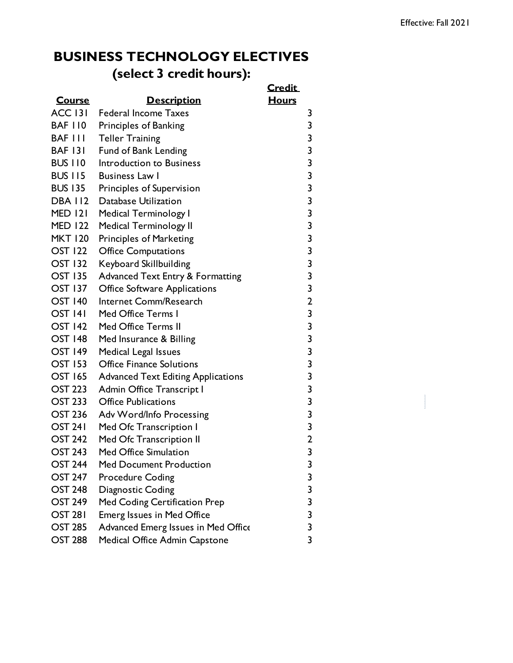## **BUSINESS TECHNOLOGY ELECTIVES (select 3 credit hours):**

|                |                                             | <b>Credit</b>           |  |
|----------------|---------------------------------------------|-------------------------|--|
| <b>Course</b>  | <b>Description</b>                          | <b>Hours</b>            |  |
| <b>ACC 131</b> | <b>Federal Income Taxes</b>                 | 3                       |  |
| <b>BAF 110</b> | Principles of Banking                       | 3                       |  |
| <b>BAF III</b> | <b>Teller Training</b>                      | 3                       |  |
| <b>BAF 131</b> | <b>Fund of Bank Lending</b>                 | 3                       |  |
| <b>BUS 110</b> | Introduction to Business                    | 3                       |  |
| <b>BUS 115</b> | <b>Business Law I</b>                       | $\overline{\mathbf{3}}$ |  |
| <b>BUS 135</b> | Principles of Supervision                   | 3                       |  |
| <b>DBA 112</b> | Database Utilization                        | $\overline{\mathbf{3}}$ |  |
| <b>MED 121</b> | <b>Medical Terminology I</b>                | 3                       |  |
| <b>MED 122</b> | <b>Medical Terminology II</b>               | $\overline{\mathbf{3}}$ |  |
| <b>MKT 120</b> | Principles of Marketing                     | 3                       |  |
| <b>OST 122</b> | <b>Office Computations</b>                  | $\overline{\mathbf{3}}$ |  |
| <b>OST 132</b> | Keyboard Skillbuilding                      | 3                       |  |
| <b>OST 135</b> | <b>Advanced Text Entry &amp; Formatting</b> | 3                       |  |
| <b>OST 137</b> | <b>Office Software Applications</b>         | 3                       |  |
| <b>OST 140</b> | Internet Comm/Research                      | $\overline{2}$          |  |
| <b>OST 141</b> | Med Office Terms I                          | 3                       |  |
| <b>OST 142</b> | <b>Med Office Terms II</b>                  | $\overline{\mathbf{3}}$ |  |
| <b>OST 148</b> | Med Insurance & Billing                     | 3                       |  |
| <b>OST 149</b> | Medical Legal Issues                        | $\overline{\mathbf{3}}$ |  |
| <b>OST 153</b> | <b>Office Finance Solutions</b>             | 3                       |  |
| <b>OST 165</b> | <b>Advanced Text Editing Applications</b>   | 3                       |  |
| <b>OST 223</b> | <b>Admin Office Transcript I</b>            | 3                       |  |
| <b>OST 233</b> | <b>Office Publications</b>                  | $\overline{\mathbf{3}}$ |  |
| <b>OST 236</b> | Adv Word/Info Processing                    | 3                       |  |
| <b>OST 241</b> | Med Ofc Transcription I                     | $\overline{\mathbf{3}}$ |  |
| <b>OST 242</b> | Med Ofc Transcription II                    | $\overline{2}$          |  |
| <b>OST 243</b> | Med Office Simulation                       | 3                       |  |
| <b>OST 244</b> | <b>Med Document Production</b>              | 3                       |  |
| <b>OST 247</b> | <b>Procedure Coding</b>                     | 3                       |  |
| <b>OST 248</b> | Diagnostic Coding                           | 3                       |  |
| <b>OST 249</b> | Med Coding Certification Prep               | 3                       |  |
| <b>OST 281</b> | <b>Emerg Issues in Med Office</b>           | 3                       |  |
| <b>OST 285</b> | Advanced Emerg Issues in Med Office         | 3                       |  |
| <b>OST 288</b> | Medical Office Admin Capstone               | 3                       |  |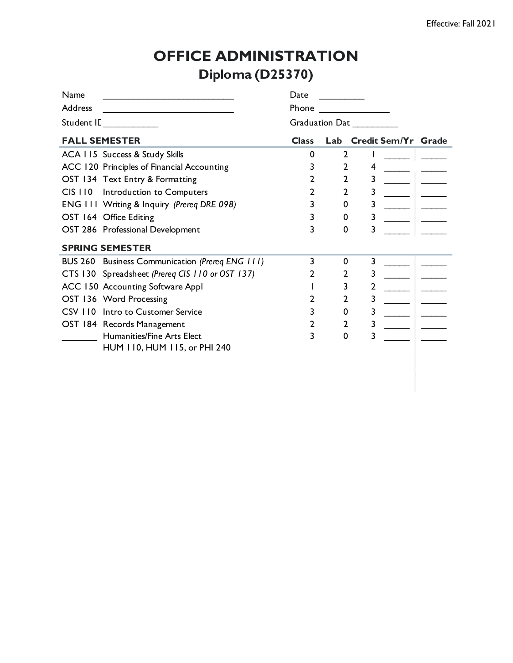# **OFFICE ADMINISTRATION Diploma (D25370)**

| Name           |                                                 | Date         |                |   |                         |  |  |  |
|----------------|-------------------------------------------------|--------------|----------------|---|-------------------------|--|--|--|
| <b>Address</b> |                                                 | Phone        |                |   |                         |  |  |  |
| Student IL     |                                                 |              | Graduation Dat |   |                         |  |  |  |
|                | <b>FALL SEMESTER</b>                            | <b>Class</b> |                |   | Lab Credit Sem/Yr Grade |  |  |  |
|                | ACA 115 Success & Study Skills                  | 0            | 2              |   |                         |  |  |  |
|                | ACC 120 Principles of Financial Accounting      |              | 2              | 4 |                         |  |  |  |
|                | OST 134 Text Entry & Formatting                 |              | 2              | 3 |                         |  |  |  |
|                | CIS 110 Introduction to Computers               |              | 2              |   |                         |  |  |  |
|                | ENG III Writing & Inquiry (Prereq DRE 098)      |              | 0              | 3 |                         |  |  |  |
|                | OST 164 Office Editing                          | 3            | 0              | 3 |                         |  |  |  |
|                | OST 286 Professional Development                | 3            | 0              |   |                         |  |  |  |
|                | <b>SPRING SEMESTER</b>                          |              |                |   |                         |  |  |  |
|                | BUS 260 Business Communication (Prereq ENG 111) | 3            | 0              | 3 |                         |  |  |  |
|                | CTS 130 Spreadsheet (Prereq CIS 110 or OST 137) |              | 2              | 3 |                         |  |  |  |
|                | ACC 150 Accounting Software Appl                |              | 3              |   |                         |  |  |  |
|                | OST 136 Word Processing                         |              | 2              | 3 |                         |  |  |  |
|                | CSV 110 Intro to Customer Service               |              | 0              | 3 |                         |  |  |  |
|                | OST 184 Records Management                      |              | 2              | 3 |                         |  |  |  |
|                | Humanities/Fine Arts Elect                      | 3            | 0              | 3 |                         |  |  |  |
|                | HUM 110, HUM 115, or PHI 240                    |              |                |   |                         |  |  |  |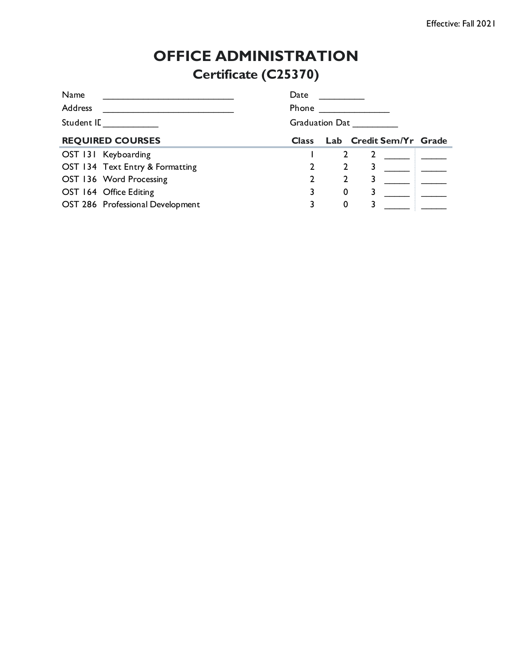# **OFFICE ADMINISTRATION Certificate (C25370)**

| Name                             | Date                  |   |  |                         |  |  |
|----------------------------------|-----------------------|---|--|-------------------------|--|--|
| <b>Address</b>                   | Phone                 |   |  |                         |  |  |
| Student IL                       | <b>Graduation Dat</b> |   |  |                         |  |  |
| <b>REQUIRED COURSES</b>          | <b>Class</b>          |   |  | Lab Credit Sem/Yr Grade |  |  |
| OST 131 Keyboarding              |                       |   |  |                         |  |  |
| OST 134 Text Entry & Formatting  |                       |   |  |                         |  |  |
| OST 136 Word Processing          |                       |   |  |                         |  |  |
| OST 164 Office Editing           |                       | 0 |  |                         |  |  |
| OST 286 Professional Development |                       | 0 |  |                         |  |  |